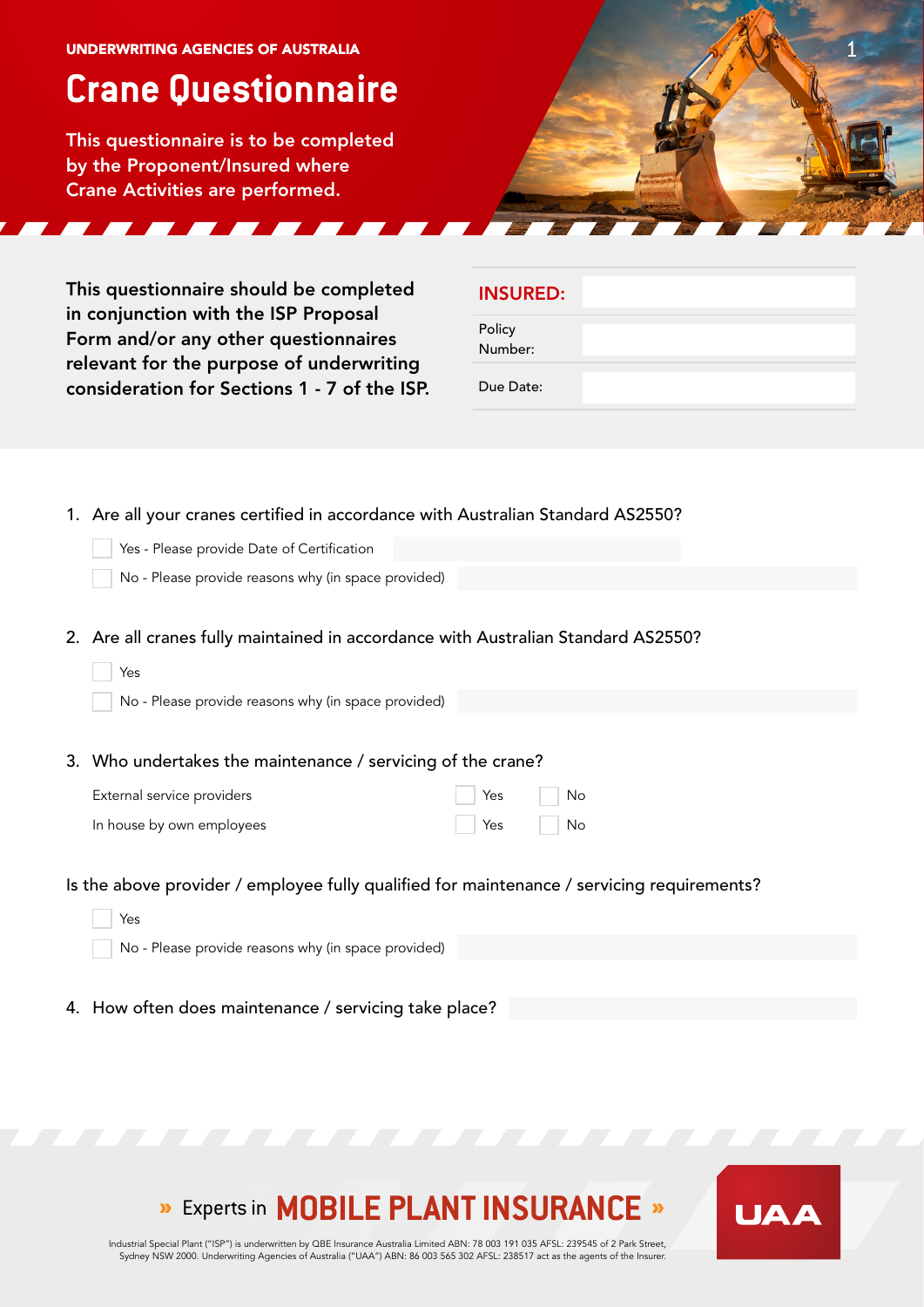#### UNDERWRITING AGENCIES OF AUSTRALIA  $\sim$  1

# **Crane Questionnaire**

This questionnaire is to be completed by the Proponent/Insured where Crane Activities are performed.

This questionnaire should be completed in conjunction with the ISP Proposal Form and/or any other questionnaires relevant for the purpose of underwriting consideration for Sections 1 - 7 of the ISP.

| <b>INSURED:</b> |  |  |
|-----------------|--|--|
|                 |  |  |

Policy Number:

Due Date:

- 1. Are all your cranes certified in accordance with Australian Standard AS2550?
	- Yes Please provide Date of Certification
	- No Please provide reasons why (in space provided)
- 2. Are all cranes fully maintained in accordance with Australian Standard AS2550?

| Yes                                                         |     |    |
|-------------------------------------------------------------|-----|----|
| No - Please provide reasons why (in space provided)         |     |    |
|                                                             |     |    |
| 3. Who undertakes the maintenance / servicing of the crane? |     |    |
| External service providers                                  | Yes | No |
| In house by own employees                                   | Yes | No |
|                                                             |     |    |

- Is the above provider / employee fully qualified for maintenance / servicing requirements?
	- Yes No - Please provide reasons why (in space provided)
- 4. How often does maintenance / servicing take place?

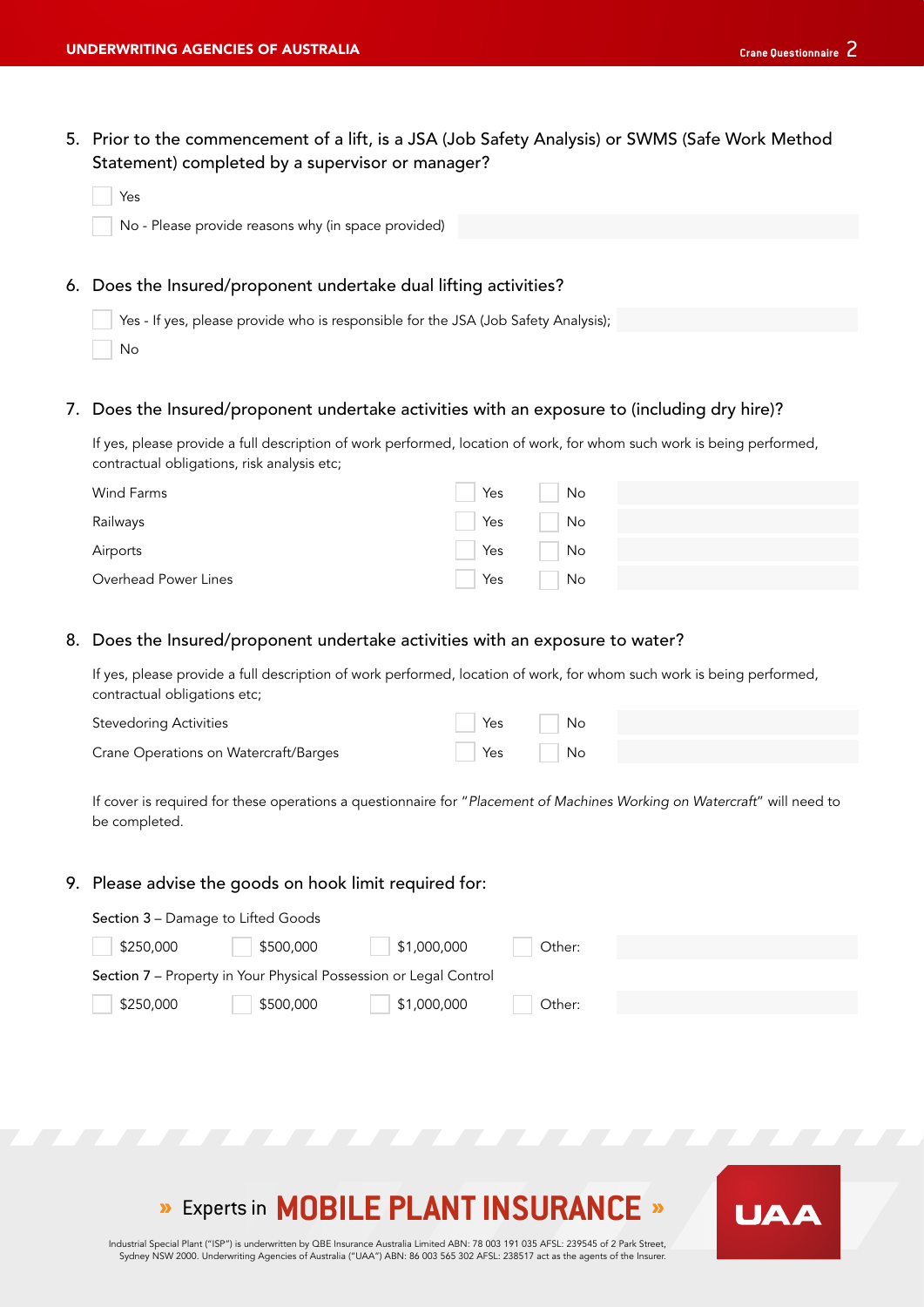5. Prior to the commencement of a lift, is a JSA (Job Safety Analysis) or SWMS (Safe Work Method Statement) completed by a supervisor or manager?

| Yes                                                              |
|------------------------------------------------------------------|
| No - Please provide reasons why (in space provided)              |
|                                                                  |
| 6. Does the Insured/proponent undertake dual lifting activities? |

Yes - If yes, please provide who is responsible for the JSA (Job Safety Analysis);

No

#### 7. Does the Insured/proponent undertake activities with an exposure to (including dry hire)?

If yes, please provide a full description of work performed, location of work, for whom such work is being performed, contractual obligations, risk analysis etc;

| Wind Farms           | Yes | No                          |  |  |
|----------------------|-----|-----------------------------|--|--|
| Railways             | Yes | $\overline{\phantom{a}}$ No |  |  |
| Airports             | Yes | $\overline{\phantom{a}}$ No |  |  |
| Overhead Power Lines | Yes | No.                         |  |  |

#### 8. Does the Insured/proponent undertake activities with an exposure to water?

If yes, please provide a full description of work performed, location of work, for whom such work is being performed, contractual obligations etc;

| <b>Stevedoring Activities</b>         | Yes | No |  |
|---------------------------------------|-----|----|--|
| Crane Operations on Watercraft/Barges | Yes | No |  |

If cover is required for these operations a questionnaire for "*Placement of Machines Working on Watercraft*" will need to be completed.

#### 9. Please advise the goods on hook limit required for:

| <b>Section 3 – Damage to Lifted Goods</b>                         |           |             |        |  |  |  |  |
|-------------------------------------------------------------------|-----------|-------------|--------|--|--|--|--|
| \$250,000                                                         | \$500,000 | \$1,000,000 | Other: |  |  |  |  |
| Section 7 - Property in Your Physical Possession or Legal Control |           |             |        |  |  |  |  |
| \$250,000                                                         | \$500,000 | \$1,000,000 | Other: |  |  |  |  |
|                                                                   |           |             |        |  |  |  |  |

# **»** Experts in **MOBILE PLANT INSURANCE** »

Industrial Special Plant ("ISP") is underwritten by QBE Insurance Australia Limited ABN: 78 003 191 035 AFSL: 239545 of 2 Park Street, Sydney NSW 2000. Underwriting Agencies of Australia ("UAA") ABN: 86 003 565 302 AFSL: 238517 act as the agents of the Insurer.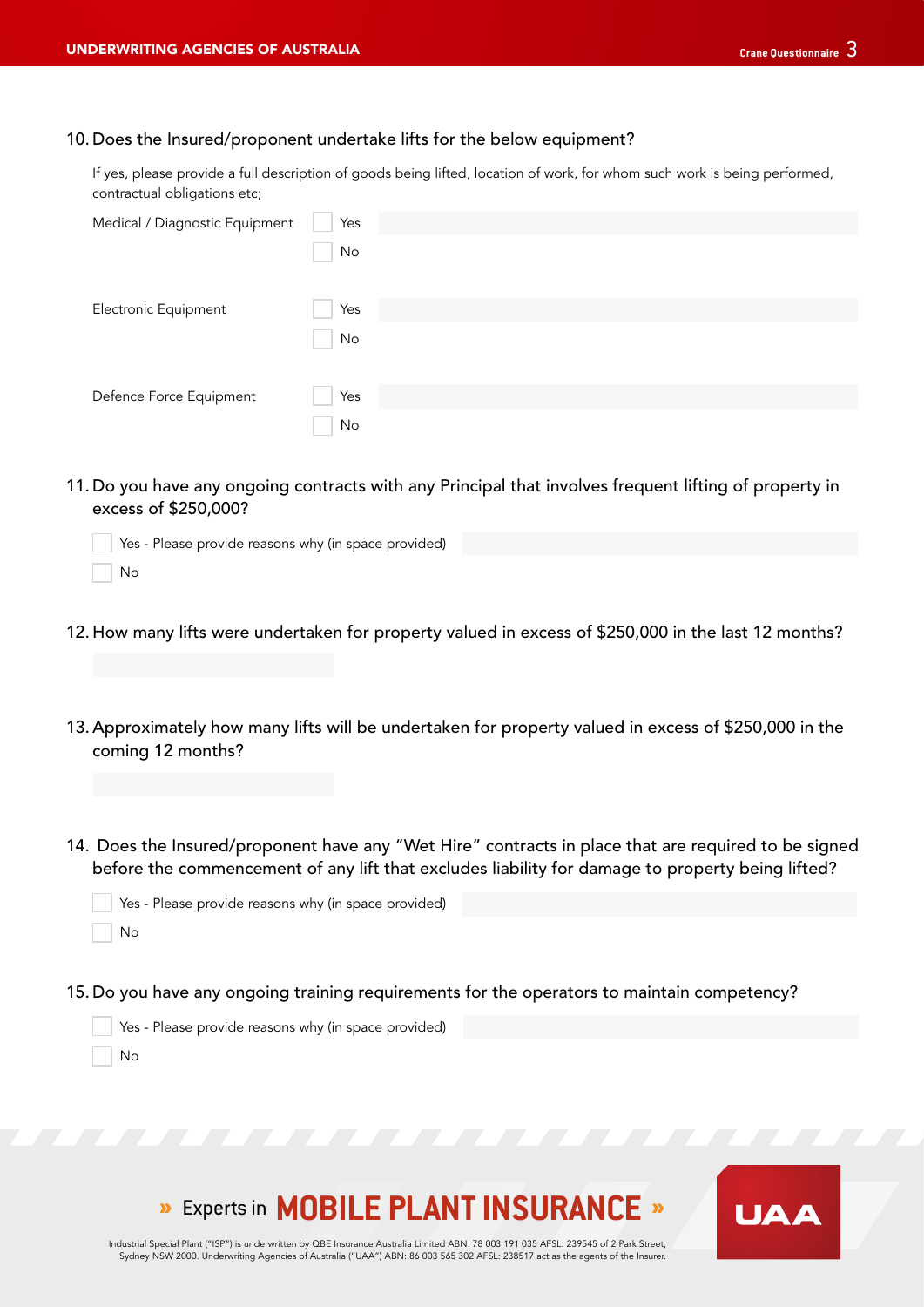## 10. Does the Insured/proponent undertake lifts for the below equipment?

If yes, please provide a full description of goods being lifted, location of work, for whom such work is being performed, contractual obligations etc;

| Medical / Diagnostic Equipment | Yes |
|--------------------------------|-----|
|                                | No  |
|                                |     |
| Electronic Equipment           | Yes |
|                                | No  |
|                                |     |
| Defence Force Equipment        | Yes |
|                                | No  |

11. Do you have any ongoing contracts with any Principal that involves frequent lifting of property in excess of \$250,000?

| Yes - Please provide reasons why (in space provided) |
|------------------------------------------------------|
| No.                                                  |

- 12. How many lifts were undertaken for property valued in excess of \$250,000 in the last 12 months?
- 13. Approximately how many lifts will be undertaken for property valued in excess of \$250,000 in the coming 12 months?
- 14. Does the Insured/proponent have any "Wet Hire" contracts in place that are required to be signed before the commencement of any lift that excludes liability for damage to property being lifted?

| Yes - Please provide reasons why (in space provided) |  |
|------------------------------------------------------|--|
| No.                                                  |  |

15. Do you have any ongoing training requirements for the operators to maintain competency?

| Yes - Please provide reasons why (in space provided) |
|------------------------------------------------------|
| l No                                                 |

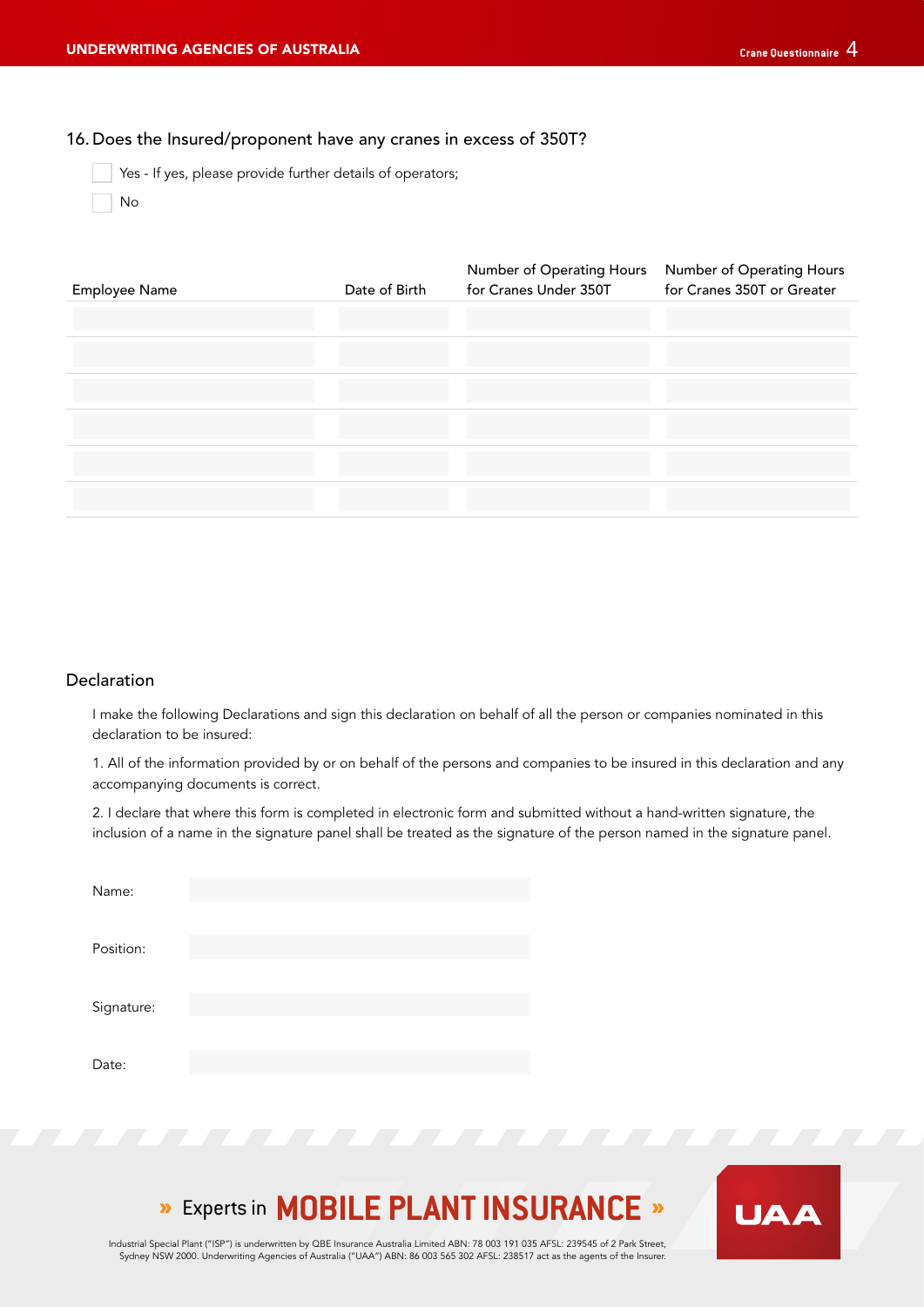### 16. Does the Insured/proponent have any cranes in excess of 350T?

Yes - If yes, please provide further details of operators;

No

| Employee Name | Date of Birth | Number of Operating Hours<br>for Cranes Under 350T | Number of Operating Hours<br>for Cranes 350T or Greater |
|---------------|---------------|----------------------------------------------------|---------------------------------------------------------|
|               |               |                                                    |                                                         |
|               |               |                                                    |                                                         |
|               |               |                                                    |                                                         |
|               |               |                                                    |                                                         |
|               |               |                                                    |                                                         |
|               |               |                                                    |                                                         |

### Declaration

I make the following Declarations and sign this declaration on behalf of all the person or companies nominated in this declaration to be insured:

1. All of the information provided by or on behalf of the persons and companies to be insured in this declaration and any accompanying documents is correct.

2. I declare that where this form is completed in electronic form and submitted without a hand-written signature, the inclusion of a name in the signature panel shall be treated as the signature of the person named in the signature panel.

| Name:      |  |  |
|------------|--|--|
| Position:  |  |  |
| Signature: |  |  |
| Date:      |  |  |

# **»** Experts in **MOBILE PLANT INSURANCE** »

Industrial Special Plant ("ISP") is underwritten by QBE Insurance Australia Limited ABN: 78 003 191 035 AFSL: 239545 of 2 Park Street, Sydney NSW 2000. Underwriting Agencies of Australia ("UAA") ABN: 86 003 565 302 AFSL: 238517 act as the agents of the Insurer.